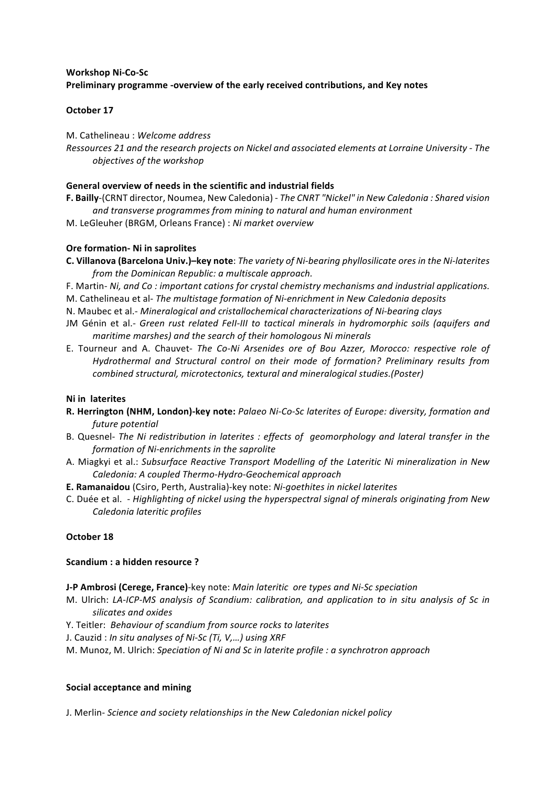# **Workshop Ni-Co-Sc** Preliminary programme -overview of the early received contributions, and Key notes

## **October 17**

## M. Cathelineau : *Welcome address*

*Ressources 21 and the research projects on Nickel and associated elements at Lorraine University - The objectives of the workshop*

## **General overview of needs in the scientific and industrial fields**

F. Bailly-(CRNT director, Noumea, New Caledonia) - The CNRT "Nickel" in New Caledonia : Shared vision and transverse programmes from mining to natural and human environment

M. LeGleuher (BRGM, Orleans France) : *Ni market overview*

## **Ore formation- Ni in saprolites**

- **C.** Villanova (Barcelona Univ.)–key note: *The variety of Ni-bearing phyllosilicate ores in the Ni-laterites* from the Dominican Republic: a multiscale approach.
- F. Martin- Ni, and Co : important cations for crystal chemistry mechanisms and industrial applications.
- M. Cathelineau et al- *The multistage formation of Ni-enrichment in New Caledonia deposits*
- N. Maubec et al.- *Mineralogical and cristallochemical characterizations of Ni-bearing clays*
- JM Génin et al.- *Green rust related FeII-III to tactical minerals in hydromorphic soils (aquifers and maritime marshes)* and the search of their homologous Ni minerals
- E. Tourneur and A. Chauvet- *The Co-Ni Arsenides ore of Bou Azzer, Morocco: respective role of* Hydrothermal and Structural control on their mode of formation? Preliminary results from *combined structural, microtectonics, textural and mineralogical studies.(Poster)*

### **Ni** in laterites

- **R.** Herrington (NHM, London)-key note: Palaeo Ni-Co-Sc laterites of Europe: diversity, formation and *future potential*
- B. Quesnel- The Ni redistribution in laterites : effects of geomorphology and lateral transfer in the *formation of Ni-enrichments in the saprolite*
- A. Miagkyi et al.: Subsurface Reactive Transport Modelling of the Lateritic Ni mineralization in New *Caledonia: A coupled Thermo-Hydro-Geochemical approach*
- **E. Ramanaidou** (Csiro, Perth, Australia)-key note: *Ni-goethites in nickel laterites*
- C. Duée et al.  *Highlighting of nickel using the hyperspectral signal of minerals originating from New Caledonia lateritic profiles*

## **October 18**

### **Scandium : a hidden resource ?**

- **J-P Ambrosi (Cerege, France)**-key note: *Main lateritic ore types and Ni-Sc speciation*
- M. Ulrich: LA-ICP-MS analysis of Scandium: calibration, and application to in situ analysis of Sc in *silicates and oxides*
- Y. Teitler: Behaviour of scandium from source rocks to laterites
- J. Cauzid : *In situ analyses of Ni-Sc (Ti, V,...)* using XRF
- M. Munoz, M. Ulrich: *Speciation of Ni and Sc in laterite profile : a synchrotron approach*

### **Social acceptance and mining**

J. Merlin- *Science and society relationships in the New Caledonian nickel policy*